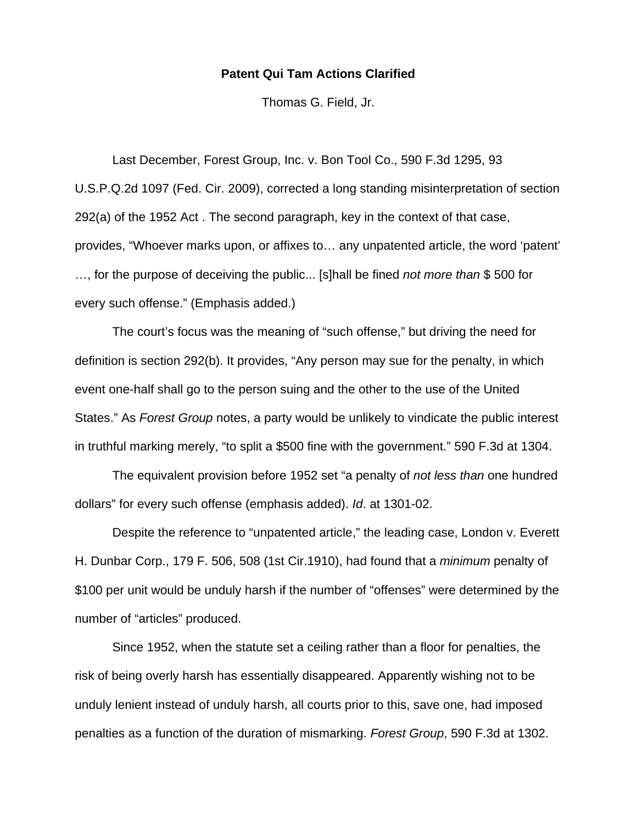## **Patent Qui Tam Actions Clarified**

Thomas G. Field, Jr.

 Last December, Forest Group, Inc. v. Bon Tool Co., 590 F.3d 1295, 93 U.S.P.Q.2d 1097 (Fed. Cir. 2009), corrected a long standing misinterpretation of section 292(a) of the 1952 Act . The second paragraph, key in the context of that case, provides, "Whoever marks upon, or affixes to… any unpatented article, the word 'patent' …, for the purpose of deceiving the public... [s]hall be fined *not more than* \$ 500 for every such offense." (Emphasis added.)

 The court's focus was the meaning of "such offense," but driving the need for definition is section 292(b). It provides, "Any person may sue for the penalty, in which event one-half shall go to the person suing and the other to the use of the United States." As *Forest Group* notes, a party would be unlikely to vindicate the public interest in truthful marking merely, "to split a \$500 fine with the government." 590 F.3d at 1304.

 The equivalent provision before 1952 set "a penalty of *not less than* one hundred dollars" for every such offense (emphasis added). *Id*. at 1301-02.

 Despite the reference to "unpatented article," the leading case, London v. Everett H. Dunbar Corp., 179 F. 506, 508 (1st Cir.1910), had found that a *minimum* penalty of \$100 per unit would be unduly harsh if the number of "offenses" were determined by the number of "articles" produced.

 Since 1952, when the statute set a ceiling rather than a floor for penalties, the risk of being overly harsh has essentially disappeared. Apparently wishing not to be unduly lenient instead of unduly harsh, all courts prior to this, save one, had imposed penalties as a function of the duration of mismarking. *Forest Group*, 590 F.3d at 1302.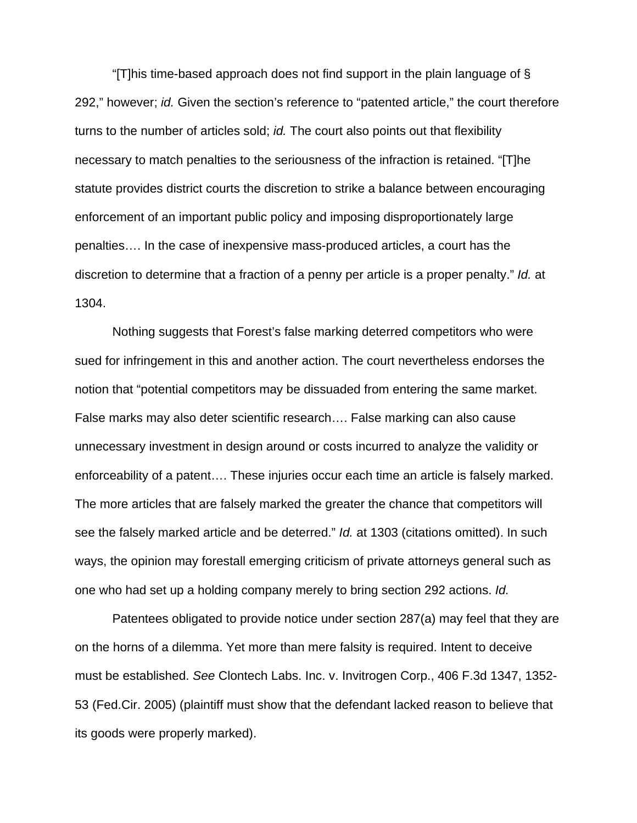"[T]his time-based approach does not find support in the plain language of § 292," however; *id.* Given the section's reference to "patented article," the court therefore turns to the number of articles sold; *id.* The court also points out that flexibility necessary to match penalties to the seriousness of the infraction is retained. "[T]he statute provides district courts the discretion to strike a balance between encouraging enforcement of an important public policy and imposing disproportionately large penalties…. In the case of inexpensive mass-produced articles, a court has the discretion to determine that a fraction of a penny per article is a proper penalty." *Id.* at 1304.

 Nothing suggests that Forest's false marking deterred competitors who were sued for infringement in this and another action. The court nevertheless endorses the notion that "potential competitors may be dissuaded from entering the same market. False marks may also deter scientific research…. False marking can also cause unnecessary investment in design around or costs incurred to analyze the validity or enforceability of a patent…. These injuries occur each time an article is falsely marked. The more articles that are falsely marked the greater the chance that competitors will see the falsely marked article and be deterred." *Id.* at 1303 (citations omitted). In such ways, the opinion may forestall emerging criticism of private attorneys general such as one who had set up a holding company merely to bring section 292 actions. *Id.*

 Patentees obligated to provide notice under section 287(a) may feel that they are on the horns of a dilemma. Yet more than mere falsity is required. Intent to deceive must be established. *See* Clontech Labs. Inc. v. Invitrogen Corp., 406 F.3d 1347, 1352- 53 (Fed.Cir. 2005) (plaintiff must show that the defendant lacked reason to believe that its goods were properly marked).